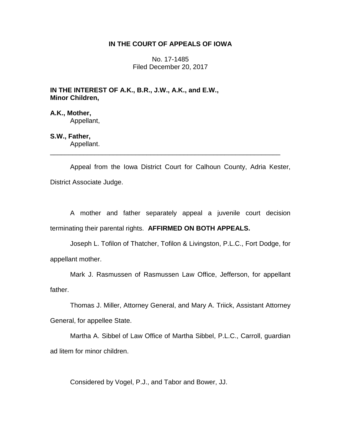# **IN THE COURT OF APPEALS OF IOWA**

No. 17-1485 Filed December 20, 2017

## **IN THE INTEREST OF A.K., B.R., J.W., A.K., and E.W., Minor Children,**

**A.K., Mother,** Appellant,

# **S.W., Father,**

Appellant. \_\_\_\_\_\_\_\_\_\_\_\_\_\_\_\_\_\_\_\_\_\_\_\_\_\_\_\_\_\_\_\_\_\_\_\_\_\_\_\_\_\_\_\_\_\_\_\_\_\_\_\_\_\_\_\_\_\_\_\_\_\_

Appeal from the Iowa District Court for Calhoun County, Adria Kester, District Associate Judge.

A mother and father separately appeal a juvenile court decision terminating their parental rights. **AFFIRMED ON BOTH APPEALS.**

Joseph L. Tofilon of Thatcher, Tofilon & Livingston, P.L.C., Fort Dodge, for appellant mother.

Mark J. Rasmussen of Rasmussen Law Office, Jefferson, for appellant father.

Thomas J. Miller, Attorney General, and Mary A. Triick, Assistant Attorney General, for appellee State.

Martha A. Sibbel of Law Office of Martha Sibbel, P.L.C., Carroll, guardian ad litem for minor children.

Considered by Vogel, P.J., and Tabor and Bower, JJ.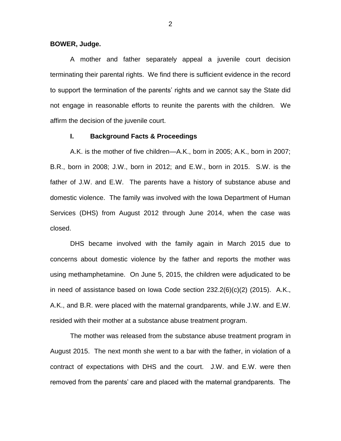#### **BOWER, Judge.**

A mother and father separately appeal a juvenile court decision terminating their parental rights. We find there is sufficient evidence in the record to support the termination of the parents' rights and we cannot say the State did not engage in reasonable efforts to reunite the parents with the children. We affirm the decision of the juvenile court.

## **I. Background Facts & Proceedings**

A.K. is the mother of five children—A.K., born in 2005; A.K., born in 2007; B.R., born in 2008; J.W., born in 2012; and E.W., born in 2015. S.W. is the father of J.W. and E.W. The parents have a history of substance abuse and domestic violence. The family was involved with the Iowa Department of Human Services (DHS) from August 2012 through June 2014, when the case was closed.

DHS became involved with the family again in March 2015 due to concerns about domestic violence by the father and reports the mother was using methamphetamine. On June 5, 2015, the children were adjudicated to be in need of assistance based on Iowa Code section 232.2(6)(c)(2) (2015). A.K., A.K., and B.R. were placed with the maternal grandparents, while J.W. and E.W. resided with their mother at a substance abuse treatment program.

The mother was released from the substance abuse treatment program in August 2015. The next month she went to a bar with the father, in violation of a contract of expectations with DHS and the court. J.W. and E.W. were then removed from the parents' care and placed with the maternal grandparents. The

2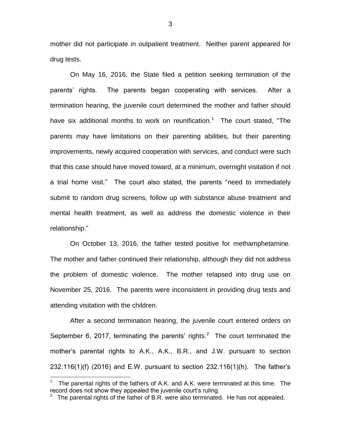mother did not participate in outpatient treatment. Neither parent appeared for drug tests.

On May 16, 2016, the State filed a petition seeking termination of the parents' rights. The parents began cooperating with services. After a termination hearing, the juvenile court determined the mother and father should have six additional months to work on reunification.<sup>1</sup> The court stated, "The parents may have limitations on their parenting abilities, but their parenting improvements, newly acquired cooperation with services, and conduct were such that this case should have moved toward, at a minimum, overnight visitation if not a trial home visit." The court also stated, the parents "need to immediately submit to random drug screens, follow up with substance abuse treatment and mental health treatment, as well as address the domestic violence in their relationship."

On October 13, 2016, the father tested positive for methamphetamine. The mother and father continued their relationship, although they did not address the problem of domestic violence. The mother relapsed into drug use on November 25, 2016. The parents were inconsistent in providing drug tests and attending visitation with the children.

After a second termination hearing, the juvenile court entered orders on September 6, 2017, terminating the parents' rights.<sup>2</sup> The court terminated the mother's parental rights to A.K., A.K., B.R., and J.W. pursuant to section 232.116(1)(f) (2016) and E.W. pursuant to section 232.116(1)(h). The father's

 $\overline{a}$ 

<sup>1</sup> The parental rights of the fathers of A.K. and A.K. were terminated at this time. The record does not show they appealed the juvenile court's ruling.

<sup>&</sup>lt;sup>2</sup> The parental rights of the father of B.R. were also terminated. He has not appealed.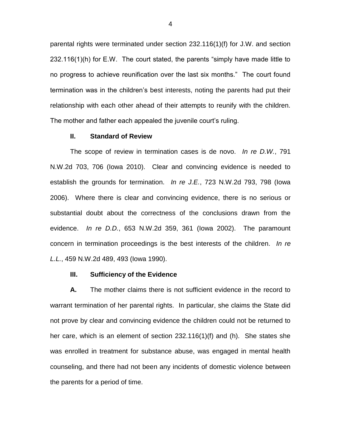parental rights were terminated under section 232.116(1)(f) for J.W. and section 232.116(1)(h) for E.W. The court stated, the parents "simply have made little to no progress to achieve reunification over the last six months." The court found termination was in the children's best interests, noting the parents had put their relationship with each other ahead of their attempts to reunify with the children. The mother and father each appealed the juvenile court's ruling.

### **II. Standard of Review**

The scope of review in termination cases is de novo. *In re D.W.*, 791 N.W.2d 703, 706 (Iowa 2010). Clear and convincing evidence is needed to establish the grounds for termination. *In re J.E.*, 723 N.W.2d 793, 798 (Iowa 2006). Where there is clear and convincing evidence, there is no serious or substantial doubt about the correctness of the conclusions drawn from the evidence. *In re D.D.*, 653 N.W.2d 359, 361 (Iowa 2002). The paramount concern in termination proceedings is the best interests of the children. *In re L.L.*, 459 N.W.2d 489, 493 (Iowa 1990).

#### **III. Sufficiency of the Evidence**

**A.** The mother claims there is not sufficient evidence in the record to warrant termination of her parental rights. In particular, she claims the State did not prove by clear and convincing evidence the children could not be returned to her care, which is an element of section 232.116(1)(f) and (h). She states she was enrolled in treatment for substance abuse, was engaged in mental health counseling, and there had not been any incidents of domestic violence between the parents for a period of time.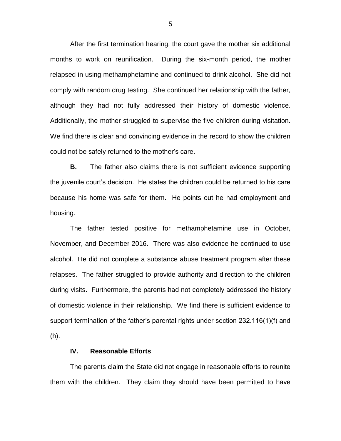After the first termination hearing, the court gave the mother six additional months to work on reunification. During the six-month period, the mother relapsed in using methamphetamine and continued to drink alcohol. She did not comply with random drug testing. She continued her relationship with the father, although they had not fully addressed their history of domestic violence. Additionally, the mother struggled to supervise the five children during visitation. We find there is clear and convincing evidence in the record to show the children could not be safely returned to the mother's care.

**B.** The father also claims there is not sufficient evidence supporting the juvenile court's decision. He states the children could be returned to his care because his home was safe for them. He points out he had employment and housing.

The father tested positive for methamphetamine use in October, November, and December 2016. There was also evidence he continued to use alcohol. He did not complete a substance abuse treatment program after these relapses. The father struggled to provide authority and direction to the children during visits. Furthermore, the parents had not completely addressed the history of domestic violence in their relationship. We find there is sufficient evidence to support termination of the father's parental rights under section 232.116(1)(f) and (h).

## **IV. Reasonable Efforts**

The parents claim the State did not engage in reasonable efforts to reunite them with the children. They claim they should have been permitted to have

5